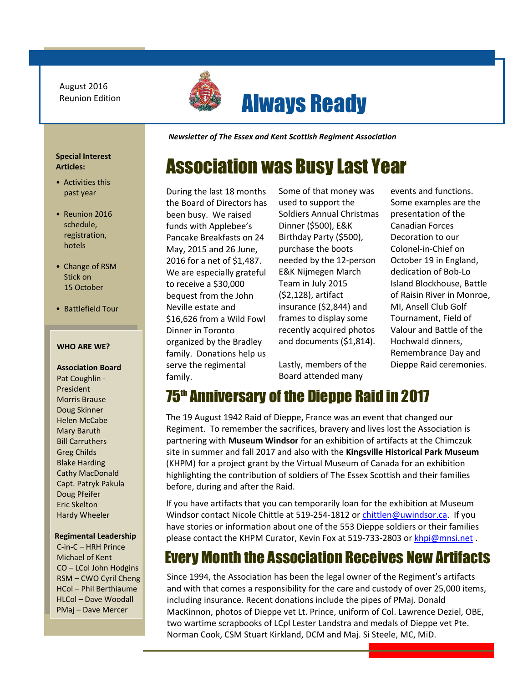August 2016 Reunion Edition



# Always Ready

*Newsletter of The Essex and Kent Scottish Regiment Association*

# Association was Busy Last Year

During the last 18 months the Board of Directors has been busy. We raised funds with Applebee's Pancake Breakfasts on 24 May, 2015 and 26 June, 2016 for a net of \$1,487. We are especially grateful to receive a \$30,000 bequest from the John Neville estate and \$16,626 from a Wild Fowl Dinner in Toronto organized by the Bradley family. Donations help us serve the regimental family.

Some of that money was used to support the Soldiers Annual Christmas Dinner (\$500), E&K Birthday Party (\$500), purchase the boots needed by the 12-person E&K Nijmegen March Team in July 2015 (\$2,128), artifact insurance (\$2,844) and frames to display some recently acquired photos and documents (\$1,814).

Lastly, members of the Board attended many

events and functions. Some examples are the presentation of the Canadian Forces Decoration to our Colonel-in-Chief on October 19 in England, dedication of Bob-Lo Island Blockhouse, Battle of Raisin River in Monroe, MI, Ansell Club Golf Tournament, Field of Valour and Battle of the Hochwald dinners, Remembrance Day and Dieppe Raid ceremonies.

#### **Special Interest Articles:**

- Activities this past year
- Reunion 2016 schedule, registration, hotels
- Change of RSM Stick on 15 October
- Battlefield Tour 2017

#### **WHO ARE WE?**

**Association Board** Pat Coughlin - President Morris Brause Doug Skinner Helen McCabe Mary Baruth Bill Carruthers Greg Childs Blake Harding Cathy MacDonald Capt. Patryk Pakula Doug Pfeifer Eric Skelton Hardy Wheeler

#### **Regimental Leadership**

C-in-C – HRH Prince Michael of Kent CO – LCol John Hodgins RSM – CWO Cyril Cheng HCol – Phil Berthiaume HLCol – Dave Woodall PMaj – Dave Mercer

75th Anniversary of the Dieppe Raid in 2017 The 19 August 1942 Raid of Dieppe, France was an event that changed our

 partnering with **Museum Windsor** for an exhibition of artifacts at the Chimczuk site in summer and fall 2017 and also with the **Kingsville Historical Park Museum** Regiment. To remember the sacrifices, bravery and lives lost the Association is (KHPM) for a project grant by the Virtual Museum of Canada for an exhibition highlighting the contribution of soldiers of The Essex Scottish and their families before, during and after the Raid.

If you have artifacts that you can temporarily loan for the exhibition at Museum Windsor contact Nicole Chittle at 519-254-1812 or [chittlen@uwindsor.ca.](mailto:chittlen@uwindsor.ca) If you have stories or information about one of the 553 Dieppe soldiers or their families please contact the KHPM Curator, Kevin Fox at 519-733-2803 or [khpi@mnsi.net](mailto:khpi@mnsi.net) .

## Every Month the Association Receives New Artifacts

Since 1994, the Association has been the legal owner of the Regiment's artifacts and with that comes a responsibility for the care and custody of over 25,000 items, including insurance. Recent donations include the pipes of PMaj. Donald MacKinnon, photos of Dieppe vet Lt. Prince, uniform of Col. Lawrence Deziel, OBE, two wartime scrapbooks of LCpl Lester Landstra and medals of Dieppe vet Pte. Norman Cook, CSM Stuart Kirkland, DCM and Maj. Si Steele, MC, MiD.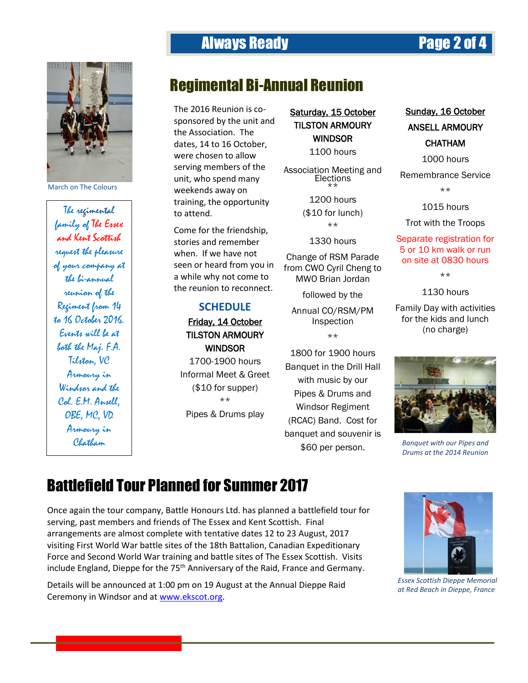

March on The Colours

The regimental family of The Essex and Kent Scottish request the pleasure of your company at the bi-annual reunion of the Regiment from 14 to 16 October 2016. Events will be at both the Maj. F.A. Tilston, VC Armoury in Windsor and the Col. E.M. Ansell, OBE, MC, VD Armoury in Chatham

## Always Ready Page 2 of 4

## Regimental Bi-Annual Reunion

The 2016 Reunion is cosponsored by the unit and the Association. The dates, 14 to 16 October, were chosen to allow serving members of the unit, who spend many weekends away on training, the opportunity to attend.

Come for the friendship, stories and remember when. If we have not seen or heard from you in a while why not come to the reunion to reconnect.

### **SCHEDULE**

### Friday, 14 October TILSTON ARMOURY **WINDSOR**

1700-1900 hours Informal Meet & Greet (\$10 for supper) \*\* Pipes & Drums play

Saturday, 15 October TILSTON ARMOURY WINDSOR

1100 hours

Association Meeting and **Elections** \*\*

1200 hours

(\$10 for lunch) \*\*

1330 hours

Change of RSM Parade from CWO Cyril Cheng to MWO Brian Jordan

followed by the

Annual CO/RSM/PM Inspection \*\*

1800 for 1900 hours Banquet in the Drill Hall with music by our Pipes & Drums and Windsor Regiment (RCAC) Band. Cost for banquet and souvenir is \$60 per person.

Sunday, 16 October

### ANSELL ARMOURY

### **CHATHAM**

1000 hours

Remembrance Service

\*\*

1015 hours

Trot with the Troops

Separate registration for 5 or 10 km walk or run on site at 0830 hours

\*\*

1130 hours

Family Day with activities for the kids and lunch (no charge)



*Banquet with our Pipes and Drums at the 2014 Reunion*

## Battlefield Tour Planned for Summer 2017

Once again the tour company, Battle Honours Ltd. has planned a battlefield tour for serving, past members and friends of The Essex and Kent Scottish. Final arrangements are almost complete with tentative dates 12 to 23 August, 2017 visiting First World War battle sites of the 18th Battalion, Canadian Expeditionary Force and Second World War training and battle sites of The Essex Scottish. Visits include England, Dieppe for the 75<sup>th</sup> Anniversary of the Raid, France and Germany.

Details will be announced at 1:00 pm on 19 August at the Annual Dieppe Raid Ceremony in Windsor and at [www.ekscot.org.](http://www.ekscot.org/)



*Essex Scottish Dieppe Memorial at Red Beach in Dieppe, France*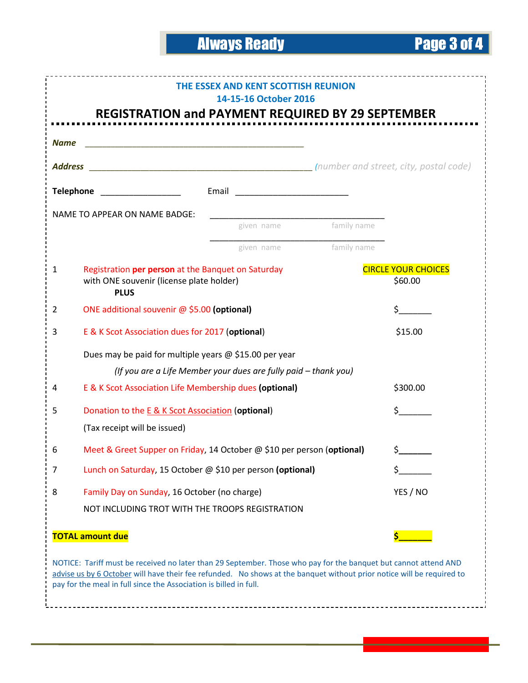# Always Ready Page 3 of 4

| THE ESSEX AND KENT SCOTTISH REUNION<br>14-15-16 October 2016<br><b>REGISTRATION and PAYMENT REQUIRED BY 29 SEPTEMBER</b>                                                                                                                                                                                      |                                                                                                               |             |                                       |
|---------------------------------------------------------------------------------------------------------------------------------------------------------------------------------------------------------------------------------------------------------------------------------------------------------------|---------------------------------------------------------------------------------------------------------------|-------------|---------------------------------------|
|                                                                                                                                                                                                                                                                                                               |                                                                                                               |             |                                       |
| <b>Name</b><br><u> 1989 - Johann John Harry, mars and de film and de film and de film and de film and de film and de film and de</u>                                                                                                                                                                          |                                                                                                               |             |                                       |
| <b>Address</b>                                                                                                                                                                                                                                                                                                |                                                                                                               |             |                                       |
| Telephone <b>All Development Control</b>                                                                                                                                                                                                                                                                      |                                                                                                               |             |                                       |
| NAME TO APPEAR ON NAME BADGE:                                                                                                                                                                                                                                                                                 |                                                                                                               |             |                                       |
|                                                                                                                                                                                                                                                                                                               | given name                                                                                                    |             | family name                           |
|                                                                                                                                                                                                                                                                                                               | given name                                                                                                    | family name |                                       |
| $\mathbf{1}$                                                                                                                                                                                                                                                                                                  | Registration per person at the Banquet on Saturday<br>with ONE souvenir (license plate holder)<br><b>PLUS</b> |             | <b>CIRCLE YOUR CHOICES</b><br>\$60.00 |
| $\overline{2}$                                                                                                                                                                                                                                                                                                | ONE additional souvenir @ \$5.00 (optional)                                                                   |             | \$.                                   |
| 3                                                                                                                                                                                                                                                                                                             | E & K Scot Association dues for 2017 (optional)                                                               |             | \$15.00                               |
|                                                                                                                                                                                                                                                                                                               | Dues may be paid for multiple years $\omega$ \$15.00 per year                                                 |             |                                       |
|                                                                                                                                                                                                                                                                                                               | (If you are a Life Member your dues are fully paid - thank you)                                               |             |                                       |
| 4                                                                                                                                                                                                                                                                                                             | E & K Scot Association Life Membership dues (optional)                                                        |             | \$300.00                              |
| 5                                                                                                                                                                                                                                                                                                             | Donation to the E & K Scot Association (optional)                                                             |             | \$.                                   |
|                                                                                                                                                                                                                                                                                                               | (Tax receipt will be issued)                                                                                  |             |                                       |
| 6                                                                                                                                                                                                                                                                                                             | Meet & Greet Supper on Friday, 14 October @ \$10 per person (optional)                                        |             | \$_                                   |
| 7                                                                                                                                                                                                                                                                                                             | Lunch on Saturday, 15 October @ \$10 per person (optional)                                                    |             |                                       |
| 8                                                                                                                                                                                                                                                                                                             | Family Day on Sunday, 16 October (no charge)                                                                  |             | YES / NO                              |
|                                                                                                                                                                                                                                                                                                               | NOT INCLUDING TROT WITH THE TROOPS REGISTRATION                                                               |             |                                       |
| <b>TOTAL amount due</b>                                                                                                                                                                                                                                                                                       |                                                                                                               |             |                                       |
| NOTICE: Tariff must be received no later than 29 September. Those who pay for the banquet but cannot attend AND<br>advise us by 6 October will have their fee refunded. No shows at the banquet without prior notice will be required to<br>pay for the meal in full since the Association is billed in full. |                                                                                                               |             |                                       |